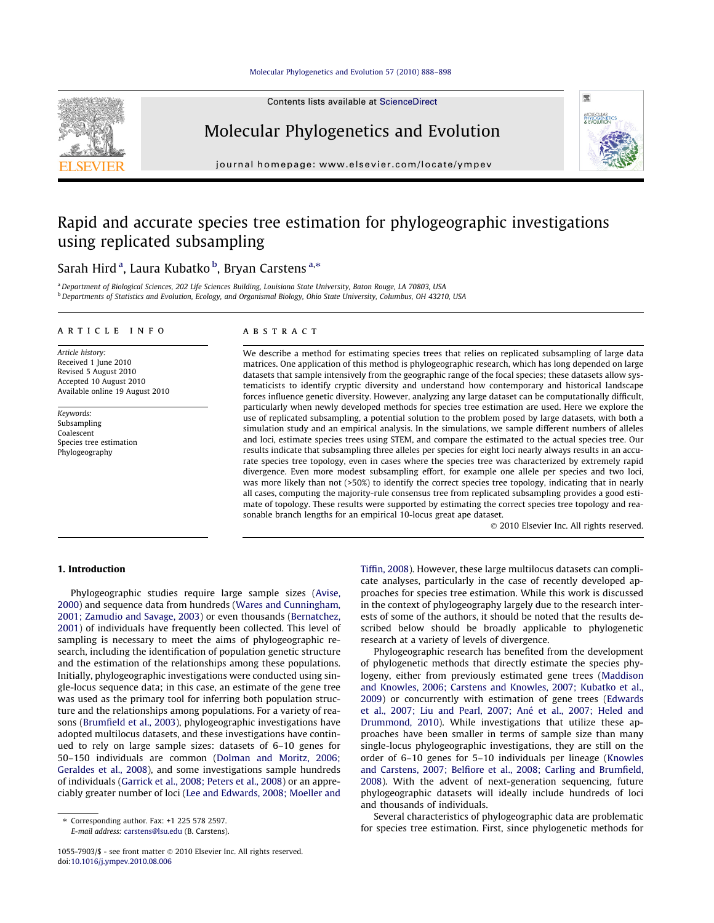Contents lists available at ScienceDirect



# Molecular Phylogenetics and Evolution



journal homepage: www.elsevier.com/locate/ympev

# Rapid and accurate species tree estimation for phylogeographic investigations using replicated subsampling

# Sarah Hird<sup>a</sup>, Laura Kubatko <sup>b</sup>, Bryan Carstens<sup>a,\*</sup>

<sup>a</sup> Department of Biological Sciences, 202 Life Sciences Building, Louisiana State University, Baton Rouge, LA 70803, USA <sup>b</sup> Departments of Statistics and Evolution, Ecology, and Organismal Biology, Ohio State University, Columbus, OH 43210, USA

#### article info

Article history: Received 1 June 2010 Revised 5 August 2010 Accepted 10 August 2010 Available online 19 August 2010

Keywords: Subsampling Coalescent Species tree estimation Phylogeography

#### **ABSTRACT**

We describe a method for estimating species trees that relies on replicated subsampling of large data matrices. One application of this method is phylogeographic research, which has long depended on large datasets that sample intensively from the geographic range of the focal species; these datasets allow systematicists to identify cryptic diversity and understand how contemporary and historical landscape forces influence genetic diversity. However, analyzing any large dataset can be computationally difficult, particularly when newly developed methods for species tree estimation are used. Here we explore the use of replicated subsampling, a potential solution to the problem posed by large datasets, with both a simulation study and an empirical analysis. In the simulations, we sample different numbers of alleles and loci, estimate species trees using STEM, and compare the estimated to the actual species tree. Our results indicate that subsampling three alleles per species for eight loci nearly always results in an accurate species tree topology, even in cases where the species tree was characterized by extremely rapid divergence. Even more modest subsampling effort, for example one allele per species and two loci, was more likely than not (>50%) to identify the correct species tree topology, indicating that in nearly all cases, computing the majority-rule consensus tree from replicated subsampling provides a good estimate of topology. These results were supported by estimating the correct species tree topology and reasonable branch lengths for an empirical 10-locus great ape dataset.

 $©$  2010 Elsevier Inc. All rights reserved.

# 1. Introduction

Phylogeographic studies require large sample sizes (Avise, 2000) and sequence data from hundreds (Wares and Cunningham, 2001; Zamudio and Savage, 2003) or even thousands (Bernatchez, 2001) of individuals have frequently been collected. This level of sampling is necessary to meet the aims of phylogeographic research, including the identification of population genetic structure and the estimation of the relationships among these populations. Initially, phylogeographic investigations were conducted using single-locus sequence data; in this case, an estimate of the gene tree was used as the primary tool for inferring both population structure and the relationships among populations. For a variety of reasons (Brumfield et al., 2003), phylogeographic investigations have adopted multilocus datasets, and these investigations have continued to rely on large sample sizes: datasets of 6–10 genes for 50–150 individuals are common (Dolman and Moritz, 2006; Geraldes et al., 2008), and some investigations sample hundreds of individuals (Garrick et al., 2008; Peters et al., 2008) or an appreciably greater number of loci (Lee and Edwards, 2008; Moeller and

E-mail address: carstens@lsu.edu (B. Carstens).

Tiffin, 2008). However, these large multilocus datasets can complicate analyses, particularly in the case of recently developed approaches for species tree estimation. While this work is discussed in the context of phylogeography largely due to the research interests of some of the authors, it should be noted that the results described below should be broadly applicable to phylogenetic research at a variety of levels of divergence.

Phylogeographic research has benefited from the development of phylogenetic methods that directly estimate the species phylogeny, either from previously estimated gene trees (Maddison and Knowles, 2006; Carstens and Knowles, 2007; Kubatko et al., 2009) or concurrently with estimation of gene trees (Edwards et al., 2007; Liu and Pearl, 2007; Ané et al., 2007; Heled and Drummond, 2010). While investigations that utilize these approaches have been smaller in terms of sample size than many single-locus phylogeographic investigations, they are still on the order of 6–10 genes for 5–10 individuals per lineage (Knowles and Carstens, 2007; Belfiore et al., 2008; Carling and Brumfield, 2008). With the advent of next-generation sequencing, future phylogeographic datasets will ideally include hundreds of loci and thousands of individuals.

Several characteristics of phylogeographic data are problematic for species tree estimation. First, since phylogenetic methods for

<sup>⇑</sup> Corresponding author. Fax: +1 225 578 2597.

<sup>1055-7903/\$ -</sup> see front matter @ 2010 Elsevier Inc. All rights reserved. doi:10.1016/j.ympev.2010.08.006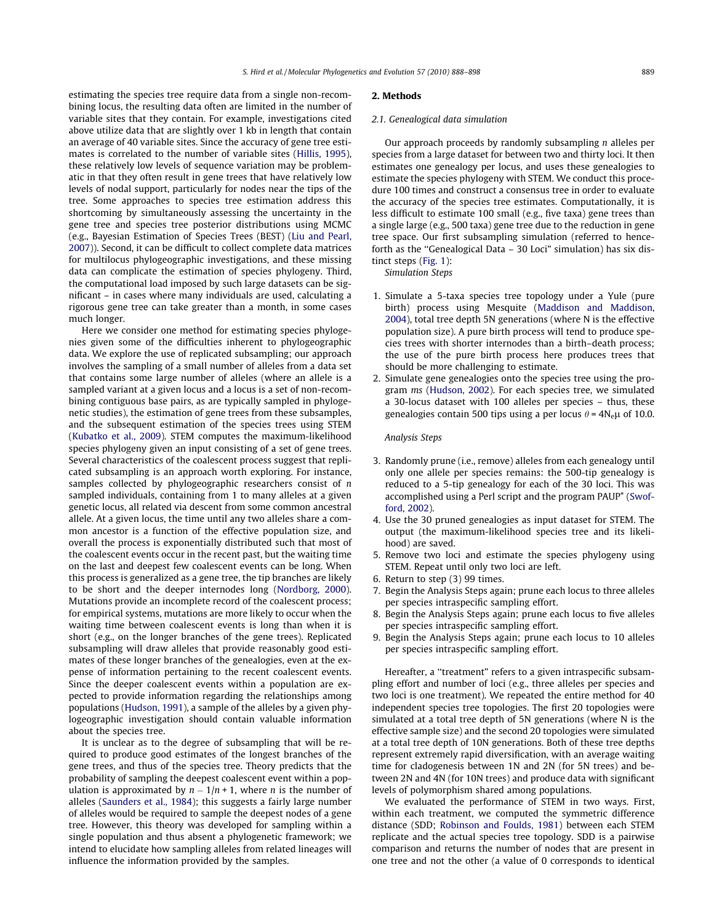estimating the species tree require data from a single non-recombining locus, the resulting data often are limited in the number of variable sites that they contain. For example, investigations cited above utilize data that are slightly over 1 kb in length that contain an average of 40 variable sites. Since the accuracy of gene tree estimates is correlated to the number of variable sites (Hillis, 1995), these relatively low levels of sequence variation may be problematic in that they often result in gene trees that have relatively low levels of nodal support, particularly for nodes near the tips of the tree. Some approaches to species tree estimation address this shortcoming by simultaneously assessing the uncertainty in the gene tree and species tree posterior distributions using MCMC (e.g., Bayesian Estimation of Species Trees (BEST) (Liu and Pearl, 2007)). Second, it can be difficult to collect complete data matrices for multilocus phylogeographic investigations, and these missing data can complicate the estimation of species phylogeny. Third, the computational load imposed by such large datasets can be significant – in cases where many individuals are used, calculating a rigorous gene tree can take greater than a month, in some cases much longer.

Here we consider one method for estimating species phylogenies given some of the difficulties inherent to phylogeographic data. We explore the use of replicated subsampling; our approach involves the sampling of a small number of alleles from a data set that contains some large number of alleles (where an allele is a sampled variant at a given locus and a locus is a set of non-recombining contiguous base pairs, as are typically sampled in phylogenetic studies), the estimation of gene trees from these subsamples, and the subsequent estimation of the species trees using STEM (Kubatko et al., 2009). STEM computes the maximum-likelihood species phylogeny given an input consisting of a set of gene trees. Several characteristics of the coalescent process suggest that replicated subsampling is an approach worth exploring. For instance, samples collected by phylogeographic researchers consist of n sampled individuals, containing from 1 to many alleles at a given genetic locus, all related via descent from some common ancestral allele. At a given locus, the time until any two alleles share a common ancestor is a function of the effective population size, and overall the process is exponentially distributed such that most of the coalescent events occur in the recent past, but the waiting time on the last and deepest few coalescent events can be long. When this process is generalized as a gene tree, the tip branches are likely to be short and the deeper internodes long (Nordborg, 2000). Mutations provide an incomplete record of the coalescent process; for empirical systems, mutations are more likely to occur when the waiting time between coalescent events is long than when it is short (e.g., on the longer branches of the gene trees). Replicated subsampling will draw alleles that provide reasonably good estimates of these longer branches of the genealogies, even at the expense of information pertaining to the recent coalescent events. Since the deeper coalescent events within a population are expected to provide information regarding the relationships among populations (Hudson, 1991), a sample of the alleles by a given phylogeographic investigation should contain valuable information about the species tree.

It is unclear as to the degree of subsampling that will be required to produce good estimates of the longest branches of the gene trees, and thus of the species tree. Theory predicts that the probability of sampling the deepest coalescent event within a population is approximated by  $n - 1/n + 1$ , where *n* is the number of alleles (Saunders et al., 1984); this suggests a fairly large number of alleles would be required to sample the deepest nodes of a gene tree. However, this theory was developed for sampling within a single population and thus absent a phylogenetic framework; we intend to elucidate how sampling alleles from related lineages will influence the information provided by the samples.

#### 2. Methods

#### 2.1. Genealogical data simulation

Our approach proceeds by randomly subsampling n alleles per species from a large dataset for between two and thirty loci. It then estimates one genealogy per locus, and uses these genealogies to estimate the species phylogeny with STEM. We conduct this procedure 100 times and construct a consensus tree in order to evaluate the accuracy of the species tree estimates. Computationally, it is less difficult to estimate 100 small (e.g., five taxa) gene trees than a single large (e.g., 500 taxa) gene tree due to the reduction in gene tree space. Our first subsampling simulation (referred to henceforth as the ''Genealogical Data – 30 Loci" simulation) has six distinct steps (Fig. 1):

Simulation Steps

- 1. Simulate a 5-taxa species tree topology under a Yule (pure birth) process using Mesquite (Maddison and Maddison, 2004), total tree depth 5N generations (where N is the effective population size). A pure birth process will tend to produce species trees with shorter internodes than a birth–death process; the use of the pure birth process here produces trees that should be more challenging to estimate.
- 2. Simulate gene genealogies onto the species tree using the program ms (Hudson, 2002). For each species tree, we simulated a 30-locus dataset with 100 alleles per species – thus, these genealogies contain 500 tips using a per locus  $\theta$  = 4N<sub>e</sub> $\mu$  of 10.0.

#### Analysis Steps

- 3. Randomly prune (i.e., remove) alleles from each genealogy until only one allele per species remains: the 500-tip genealogy is reduced to a 5-tip genealogy for each of the 30 loci. This was accomplished using a Perl script and the program PAUP\* (Swofford, 2002).
- 4. Use the 30 pruned genealogies as input dataset for STEM. The output (the maximum-likelihood species tree and its likelihood) are saved.
- 5. Remove two loci and estimate the species phylogeny using STEM. Repeat until only two loci are left.
- 6. Return to step (3) 99 times.
- 7. Begin the Analysis Steps again; prune each locus to three alleles per species intraspecific sampling effort.
- 8. Begin the Analysis Steps again; prune each locus to five alleles per species intraspecific sampling effort.
- 9. Begin the Analysis Steps again; prune each locus to 10 alleles per species intraspecific sampling effort.

Hereafter, a "treatment" refers to a given intraspecific subsampling effort and number of loci (e.g., three alleles per species and two loci is one treatment). We repeated the entire method for 40 independent species tree topologies. The first 20 topologies were simulated at a total tree depth of 5N generations (where N is the effective sample size) and the second 20 topologies were simulated at a total tree depth of 10N generations. Both of these tree depths represent extremely rapid diversification, with an average waiting time for cladogenesis between 1N and 2N (for 5N trees) and between 2N and 4N (for 10N trees) and produce data with significant levels of polymorphism shared among populations.

We evaluated the performance of STEM in two ways. First, within each treatment, we computed the symmetric difference distance (SDD; Robinson and Foulds, 1981) between each STEM replicate and the actual species tree topology. SDD is a pairwise comparison and returns the number of nodes that are present in one tree and not the other (a value of 0 corresponds to identical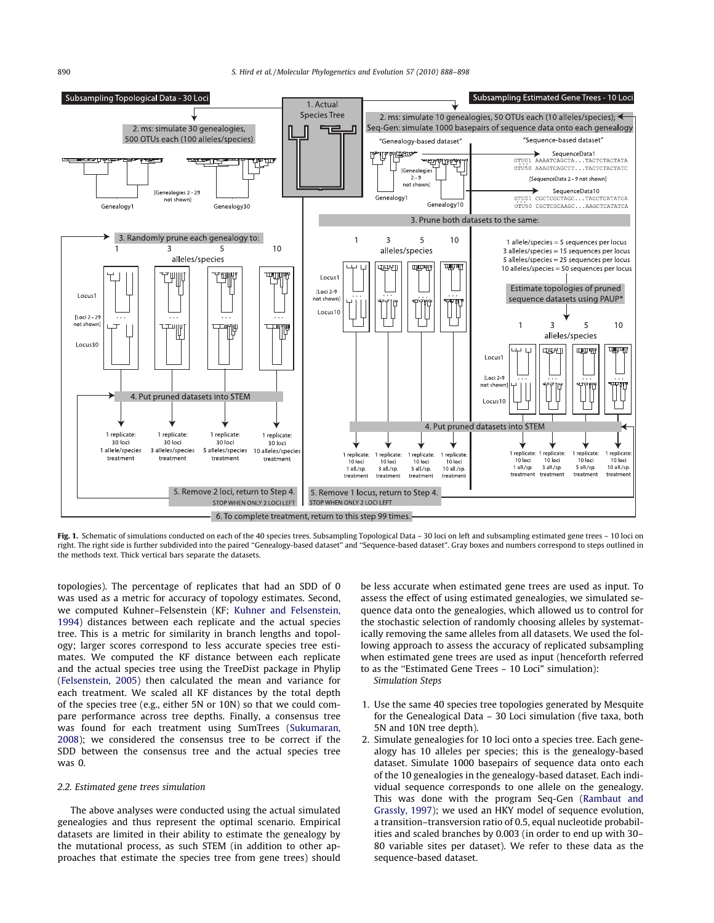# 890 S. Hird et al. / Molecular Phylogenetics and Evolution 57 (2010) 888–898



Fig. 1. Schematic of simulations conducted on each of the 40 species trees. Subsampling Topological Data – 30 loci on left and subsampling estimated gene trees – 10 loci on right. The right side is further subdivided into the paired ''Genealogy-based dataset" and ''Sequence-based dataset". Gray boxes and numbers correspond to steps outlined in the methods text. Thick vertical bars separate the datasets.

topologies). The percentage of replicates that had an SDD of 0 was used as a metric for accuracy of topology estimates. Second, we computed Kuhner–Felsenstein (KF; Kuhner and Felsenstein, 1994) distances between each replicate and the actual species tree. This is a metric for similarity in branch lengths and topology; larger scores correspond to less accurate species tree estimates. We computed the KF distance between each replicate and the actual species tree using the TreeDist package in Phylip (Felsenstein, 2005) then calculated the mean and variance for each treatment. We scaled all KF distances by the total depth of the species tree (e.g., either 5N or 10N) so that we could compare performance across tree depths. Finally, a consensus tree was found for each treatment using SumTrees (Sukumaran, 2008); we considered the consensus tree to be correct if the SDD between the consensus tree and the actual species tree was 0.

#### 2.2. Estimated gene trees simulation

The above analyses were conducted using the actual simulated genealogies and thus represent the optimal scenario. Empirical datasets are limited in their ability to estimate the genealogy by the mutational process, as such STEM (in addition to other approaches that estimate the species tree from gene trees) should be less accurate when estimated gene trees are used as input. To assess the effect of using estimated genealogies, we simulated sequence data onto the genealogies, which allowed us to control for the stochastic selection of randomly choosing alleles by systematically removing the same alleles from all datasets. We used the following approach to assess the accuracy of replicated subsampling when estimated gene trees are used as input (henceforth referred to as the ''Estimated Gene Trees – 10 Loci" simulation): Simulation Steps

- 1. Use the same 40 species tree topologies generated by Mesquite for the Genealogical Data – 30 Loci simulation (five taxa, both 5N and 10N tree depth).
- 2. Simulate genealogies for 10 loci onto a species tree. Each genealogy has 10 alleles per species; this is the genealogy-based dataset. Simulate 1000 basepairs of sequence data onto each of the 10 genealogies in the genealogy-based dataset. Each individual sequence corresponds to one allele on the genealogy. This was done with the program Seq-Gen (Rambaut and Grassly, 1997); we used an HKY model of sequence evolution, a transition–transversion ratio of 0.5, equal nucleotide probabilities and scaled branches by 0.003 (in order to end up with 30– 80 variable sites per dataset). We refer to these data as the sequence-based dataset.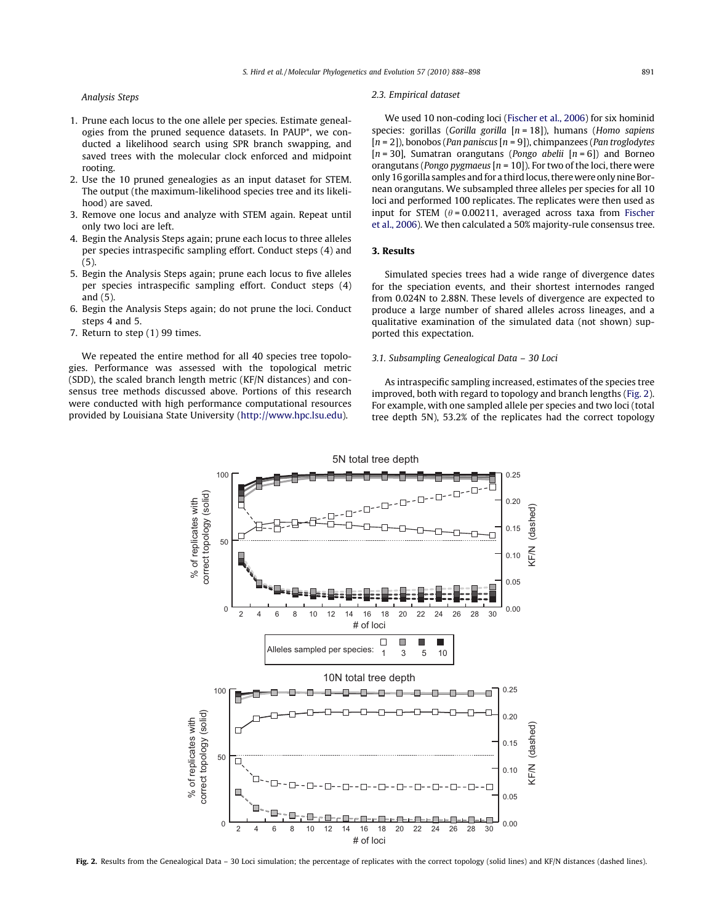Analysis Steps

- 1. Prune each locus to the one allele per species. Estimate genealogies from the pruned sequence datasets. In PAUP\*, we conducted a likelihood search using SPR branch swapping, and saved trees with the molecular clock enforced and midpoint rooting.
- 2. Use the 10 pruned genealogies as an input dataset for STEM. The output (the maximum-likelihood species tree and its likelihood) are saved.
- 3. Remove one locus and analyze with STEM again. Repeat until only two loci are left.
- 4. Begin the Analysis Steps again; prune each locus to three alleles per species intraspecific sampling effort. Conduct steps (4) and (5).
- 5. Begin the Analysis Steps again; prune each locus to five alleles per species intraspecific sampling effort. Conduct steps (4) and (5).
- 6. Begin the Analysis Steps again; do not prune the loci. Conduct steps 4 and 5.
- 7. Return to step (1) 99 times.

We repeated the entire method for all 40 species tree topologies. Performance was assessed with the topological metric (SDD), the scaled branch length metric (KF/N distances) and consensus tree methods discussed above. Portions of this research were conducted with high performance computational resources provided by Louisiana State University (http://www.hpc.lsu.edu).

#### 2.3. Empirical dataset

We used 10 non-coding loci (Fischer et al., 2006) for six hominid species: gorillas (Gorilla gorilla  $[n = 18]$ ), humans (Homo sapiens  $[n = 2]$ ), bonobos (Pan paniscus  $[n = 9]$ ), chimpanzees (Pan troglodytes [ $n = 30$ ], Sumatran orangutans (*Pongo abelii* [ $n = 6$ ]) and Borneo orangutans (*Pongo pygmaeus* [ $n = 10$ ]). For two of the loci, there were only 16 gorilla samples and for a third locus, therewere only nine Bornean orangutans. We subsampled three alleles per species for all 10 loci and performed 100 replicates. The replicates were then used as input for STEM ( $\theta$  = 0.00211, averaged across taxa from Fischer et al., 2006). We then calculated a 50% majority-rule consensus tree.

#### 3. Results

Simulated species trees had a wide range of divergence dates for the speciation events, and their shortest internodes ranged from 0.024N to 2.88N. These levels of divergence are expected to produce a large number of shared alleles across lineages, and a qualitative examination of the simulated data (not shown) supported this expectation.

# 3.1. Subsampling Genealogical Data – 30 Loci

As intraspecific sampling increased, estimates of the species tree improved, both with regard to topology and branch lengths (Fig. 2). For example, with one sampled allele per species and two loci (total tree depth 5N), 53.2% of the replicates had the correct topology



Fig. 2. Results from the Genealogical Data - 30 Loci simulation; the percentage of replicates with the correct topology (solid lines) and KF/N distances (dashed lines).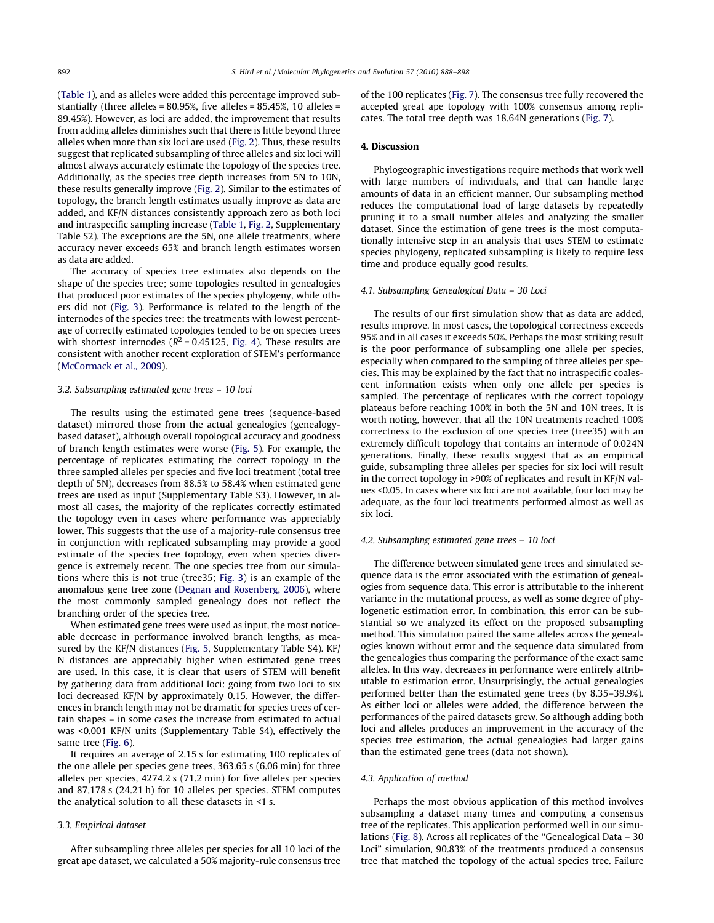(Table 1), and as alleles were added this percentage improved substantially (three alleles = 80.95%, five alleles = 85.45%, 10 alleles = 89.45%). However, as loci are added, the improvement that results from adding alleles diminishes such that there is little beyond three alleles when more than six loci are used (Fig. 2). Thus, these results suggest that replicated subsampling of three alleles and six loci will almost always accurately estimate the topology of the species tree. Additionally, as the species tree depth increases from 5N to 10N, these results generally improve (Fig. 2). Similar to the estimates of topology, the branch length estimates usually improve as data are added, and KF/N distances consistently approach zero as both loci and intraspecific sampling increase (Table 1, Fig. 2, Supplementary Table S2). The exceptions are the 5N, one allele treatments, where accuracy never exceeds 65% and branch length estimates worsen as data are added.

The accuracy of species tree estimates also depends on the shape of the species tree; some topologies resulted in genealogies that produced poor estimates of the species phylogeny, while others did not (Fig. 3). Performance is related to the length of the internodes of the species tree: the treatments with lowest percentage of correctly estimated topologies tended to be on species trees with shortest internodes ( $R^2$  = 0.45125, Fig. 4). These results are consistent with another recent exploration of STEM's performance (McCormack et al., 2009).

# 3.2. Subsampling estimated gene trees – 10 loci

The results using the estimated gene trees (sequence-based dataset) mirrored those from the actual genealogies (genealogybased dataset), although overall topological accuracy and goodness of branch length estimates were worse (Fig. 5). For example, the percentage of replicates estimating the correct topology in the three sampled alleles per species and five loci treatment (total tree depth of 5N), decreases from 88.5% to 58.4% when estimated gene trees are used as input (Supplementary Table S3). However, in almost all cases, the majority of the replicates correctly estimated the topology even in cases where performance was appreciably lower. This suggests that the use of a majority-rule consensus tree in conjunction with replicated subsampling may provide a good estimate of the species tree topology, even when species divergence is extremely recent. The one species tree from our simulations where this is not true (tree35; Fig. 3) is an example of the anomalous gene tree zone (Degnan and Rosenberg, 2006), where the most commonly sampled genealogy does not reflect the branching order of the species tree.

When estimated gene trees were used as input, the most noticeable decrease in performance involved branch lengths, as measured by the KF/N distances (Fig. 5, Supplementary Table S4). KF/ N distances are appreciably higher when estimated gene trees are used. In this case, it is clear that users of STEM will benefit by gathering data from additional loci: going from two loci to six loci decreased KF/N by approximately 0.15. However, the differences in branch length may not be dramatic for species trees of certain shapes – in some cases the increase from estimated to actual was <0.001 KF/N units (Supplementary Table S4), effectively the same tree (Fig. 6).

It requires an average of 2.15 s for estimating 100 replicates of the one allele per species gene trees, 363.65 s (6.06 min) for three alleles per species, 4274.2 s (71.2 min) for five alleles per species and 87,178 s (24.21 h) for 10 alleles per species. STEM computes the analytical solution to all these datasets in <1 s.

# 3.3. Empirical dataset

After subsampling three alleles per species for all 10 loci of the great ape dataset, we calculated a 50% majority-rule consensus tree of the 100 replicates (Fig. 7). The consensus tree fully recovered the accepted great ape topology with 100% consensus among replicates. The total tree depth was 18.64N generations (Fig. 7).

# 4. Discussion

Phylogeographic investigations require methods that work well with large numbers of individuals, and that can handle large amounts of data in an efficient manner. Our subsampling method reduces the computational load of large datasets by repeatedly pruning it to a small number alleles and analyzing the smaller dataset. Since the estimation of gene trees is the most computationally intensive step in an analysis that uses STEM to estimate species phylogeny, replicated subsampling is likely to require less time and produce equally good results.

#### 4.1. Subsampling Genealogical Data – 30 Loci

The results of our first simulation show that as data are added, results improve. In most cases, the topological correctness exceeds 95% and in all cases it exceeds 50%. Perhaps the most striking result is the poor performance of subsampling one allele per species, especially when compared to the sampling of three alleles per species. This may be explained by the fact that no intraspecific coalescent information exists when only one allele per species is sampled. The percentage of replicates with the correct topology plateaus before reaching 100% in both the 5N and 10N trees. It is worth noting, however, that all the 10N treatments reached 100% correctness to the exclusion of one species tree (tree35) with an extremely difficult topology that contains an internode of 0.024N generations. Finally, these results suggest that as an empirical guide, subsampling three alleles per species for six loci will result in the correct topology in >90% of replicates and result in KF/N values <0.05. In cases where six loci are not available, four loci may be adequate, as the four loci treatments performed almost as well as six loci.

#### 4.2. Subsampling estimated gene trees – 10 loci

The difference between simulated gene trees and simulated sequence data is the error associated with the estimation of genealogies from sequence data. This error is attributable to the inherent variance in the mutational process, as well as some degree of phylogenetic estimation error. In combination, this error can be substantial so we analyzed its effect on the proposed subsampling method. This simulation paired the same alleles across the genealogies known without error and the sequence data simulated from the genealogies thus comparing the performance of the exact same alleles. In this way, decreases in performance were entirely attributable to estimation error. Unsurprisingly, the actual genealogies performed better than the estimated gene trees (by 8.35–39.9%). As either loci or alleles were added, the difference between the performances of the paired datasets grew. So although adding both loci and alleles produces an improvement in the accuracy of the species tree estimation, the actual genealogies had larger gains than the estimated gene trees (data not shown).

#### 4.3. Application of method

Perhaps the most obvious application of this method involves subsampling a dataset many times and computing a consensus tree of the replicates. This application performed well in our simulations (Fig. 8). Across all replicates of the ''Genealogical Data – 30 Loci" simulation, 90.83% of the treatments produced a consensus tree that matched the topology of the actual species tree. Failure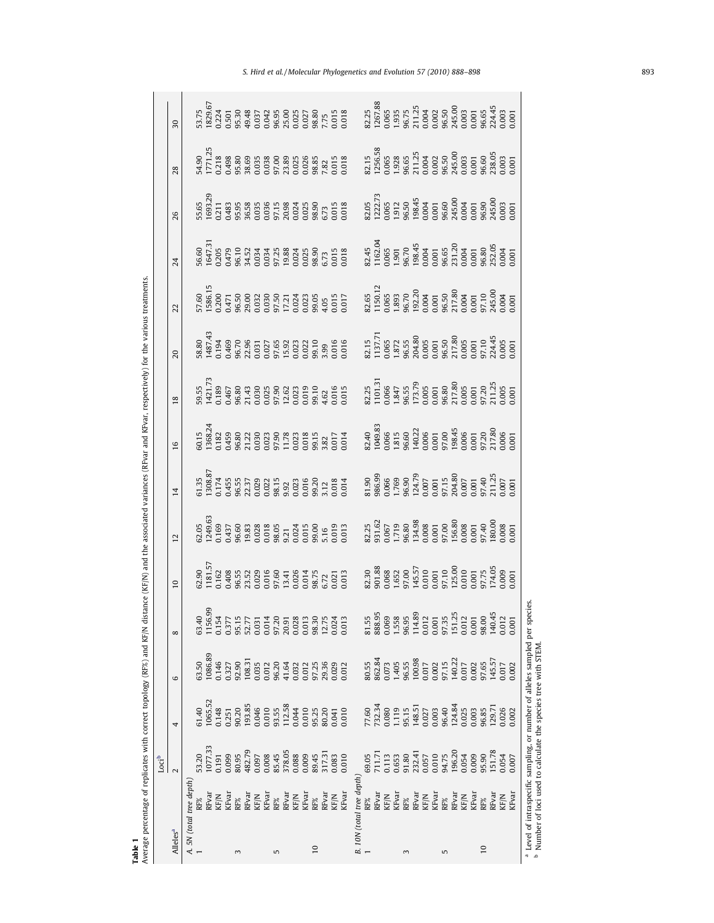|       | $\overline{30}$      |                          | $\begin{array}{l} 3.75 \\ 3.24 \\ 829.5 \\ 12.4 \\ 13.5 \\ 14.5 \\ 15.6 \\ 16.7 \\ 17.7 \\ 18.9 \\ 19.8 \\ 13.7 \\ 14.8 \\ 15.8 \\ 16.8 \\ 17.8 \\ 18.9 \\ 19.9 \\ 19.9 \\ 10.9 \\ 13.8 \\ 13.8 \\ 13.8 \\ 15.8 \\ 17.8 \\ 19.9 \\ 19.9 \\ 13.8 \\ 13.8 \\ 15.8 \\ 16.9 \\ 17.8 \\ 18.9 \\ 19.9 \\ 19.9 \\ 1$                                                                                       |                      |       |        |                 |                                                                                                 |       |        |       |                                                                 |                 |        |                         |       |                           |       |                          |                 |      |                                                                           |       |                       |       |                          |        |                    |                |                 | $\frac{2.25}{2.67.88}$<br>$\frac{2.57}{2.95}$<br>$\frac{2.35}{2.51}$<br>$\frac{2.57}{2.51}$<br>$\frac{2.57}{2.51}$<br>$\frac{2.57}{2.51}$<br>$\frac{2.57}{2.51}$<br>$\frac{2.57}{2.51}$<br>$\frac{2.57}{2.51}$<br>$\frac{2.57}{2.51}$<br>$\frac{2.57}{2.51}$<br>$\frac{2.57}{2.51}$<br>$\frac{2.57}{2.51}$    |       |          |                                                                                        |
|-------|----------------------|--------------------------|-----------------------------------------------------------------------------------------------------------------------------------------------------------------------------------------------------------------------------------------------------------------------------------------------------------------------------------------------------------------------------------------------------|----------------------|-------|--------|-----------------|-------------------------------------------------------------------------------------------------|-------|--------|-------|-----------------------------------------------------------------|-----------------|--------|-------------------------|-------|---------------------------|-------|--------------------------|-----------------|------|---------------------------------------------------------------------------|-------|-----------------------|-------|--------------------------|--------|--------------------|----------------|-----------------|---------------------------------------------------------------------------------------------------------------------------------------------------------------------------------------------------------------------------------------------------------------------------------------------------------------|-------|----------|----------------------------------------------------------------------------------------|
|       | 28                   |                          | $\begin{array}{l} 4.90 \\ 1.71 \\ 1.71 \\ 1.71 \\ 1.71 \\ 1.71 \\ 1.71 \\ 1.71 \\ 1.71 \\ 1.71 \\ 1.71 \\ 1.71 \\ 1.71 \\ 1.71 \\ 1.71 \\ 1.71 \\ 1.71 \\ 1.71 \\ 1.71 \\ 1.71 \\ 1.71 \\ 1.71 \\ 1.71 \\ 1.71 \\ 1.71 \\ 1.71 \\ 1.71 \\ 1.71 \\ 1.71 \\ 1.71 \\ 1.71 \\ 1.71 \\ 1.71 \\ 1.71 \\ 1.71 \\ 1.$                                                                                       |                      |       |        |                 |                                                                                                 |       |        |       |                                                                 |                 |        |                         |       |                           |       |                          |                 |      |                                                                           |       |                       |       |                          |        |                    |                |                 | $\begin{array}{l} 2.15 \\ 2.56.58 \\ 1.256.58 \\ 1.276.58 \\ 1.286.58 \\ 1.298 \\ 1.2004 \\ 1.256.58 \\ 1.257 \\ 1.259 \\ 1.202 \\ 1.250 \\ 1.250 \\ 1.250 \\ 1.250 \\ 1.250 \\ 1.250 \\ 1.250 \\ 1.250 \\ 1.250 \\ 1.250 \\ 1.250 \\ 1.250 \\ 1.250 \\ 1.250 \\ 1.250 \\ 1.250 \\ 1.250 \\ 1.$               |       |          |                                                                                        |
|       | 26                   |                          | $\begin{array}{l} 5.65 \\ 693.29 \\ 693.21 \\ 111 \\ 231 \\ 248 \\ 563 \\ 653 \\ 735 \\ 87 \\ 93 \\ 103 \\ 101 \\ 11 \\ 103 \\ 104 \\ 105 \\ 106 \\ 107 \\ 108 \\ 109 \\ 100 \\ 101 \\ 100 \\ 101 \\ 100 \\ 101 \\ 100 \\ 101 \\ 100 \\ 101 \\ 100 \\ 101 \\ 100 \\ 101 \\ 100 \\ 101 \\ 100 \\ 101 \\ 101 \\ 100 \\ 101$                                                                           |                      |       |        |                 |                                                                                                 |       |        |       |                                                                 |                 |        |                         |       |                           |       |                          |                 |      |                                                                           |       |                       |       |                          |        |                    |                |                 | $\begin{array}{l} 2.05 \\ 2.22.75 \\ 1.065 \\ 1.912 \\ 1.963 \\ 1.904 \\ 1.904 \\ 1.904 \\ 1.904 \\ 1.904 \\ 1.000 \\ 1.001 \\ 1.000 \\ 1.000 \\ 1.000 \\ 1.000 \\ 2.000 \\ 2.000 \\ 1.000 \\ 2.000 \\ 1.000 \\ 2.000 \\ 1.000 \\ 2.000 \\ 2.000 \\ 1.000 \\ 2.000 \\ 2.000 \\ 2.000 \\ 2.000 \\ 2$           |       |          |                                                                                        |
|       | 24                   |                          | $\begin{smallmatrix} 6.60\\ 6.47.3\\ 6.47.3\\ 0.47.6\\ 0.47.6\\ 0.47.6\\ 0.47.6\\ 0.47.6\\ 0.47.4\\ 0.47.4\\ 0.47.4\\ 0.47.4\\ 0.47.4\\ 0.47.4\\ 0.47.4\\ 0.47.4\\ 0.47.4\\ 0.47.4\\ 0.47.4\\ 0.47.4\\ 0.47.4\\ 0.47.4\\ 0.47.4\\ 0.47.4\\ 0.47.4\\ 0.47.4\\ 0.47.4\\$                                                                                                                              |                      |       |        |                 |                                                                                                 |       |        |       |                                                                 |                 |        |                         |       |                           |       |                          |                 |      |                                                                           |       |                       |       |                          |        |                    |                |                 | $\frac{13.45}{11.62.05}$<br>$\frac{13.65}{11.62.05}$<br>$\frac{13.65}{11.62.05}$<br>$\frac{13.65}{11.62.05}$<br>$\frac{13.65}{11.62.05}$<br>$\frac{13.65}{11.62.05}$<br>$\frac{13.65}{11.62.05}$<br>$\frac{13.65}{11.62.05}$<br>$\frac{13.65}{11.62.05}$<br>$\frac{13.65}{11.62.05}$                          |       |          |                                                                                        |
|       | 22                   |                          | $\begin{array}{l} 7.60 \\ 7.60 \\ 1.58 \\ 1.50 \\ 1.41 \\ 1.50 \\ 1.51 \\ 1.51 \\ 1.51 \\ 1.51 \\ 1.51 \\ 1.52 \\ 1.53 \\ 1.51 \\ 1.51 \\ 1.51 \\ 1.51 \\ 1.51 \\ 1.51 \\ 1.51 \\ 1.51 \\ 1.51 \\ 1.51 \\ 1.51 \\ 1.51 \\ 1.51 \\ 1.51 \\ 1.51 \\ 1.51 \\ 1.51 \\ 1.51 \\ 1.51 \\ 1.51 \\ 1.51 \\ 1.51 \\ 1.$                                                                                       |                      |       |        |                 |                                                                                                 |       |        |       |                                                                 |                 |        |                         |       |                           |       |                          |                 |      |                                                                           |       |                       |       |                          |        |                    |                |                 | $\begin{array}{l} 2.65 \\ 1.501 \\ 1.651 \\ 1.653 \\ 1.833 \\ 1.870 \\ 1.803 \\ 1.8120 \\ 1.004 \\ 1.000 \\ 1.000 \\ 1.000 \\ 1.000 \\ 1.000 \\ 1.000 \\ 1.000 \\ 1.000 \\ 1.000 \\ 1.000 \\ 1.000 \\ 1.000 \\ 1.000 \\ 1.000 \\ 1.000 \\ 1.000 \\ 1.000 \\ 1.000 \\ 1.000 \\ 1.000 \\ 1.000 \\ 1.$           |       |          |                                                                                        |
|       | $\overline{a}$       |                          | $\begin{array}{l} 8.80 \\ 8.87 \\ 4.87 \\ 4.94 \\ 4.95 \\ 4.96 \\ 7.49 \\ 8.73 \\ 9.73 \\ 1.23 \\ 1.24 \\ 1.25 \\ 1.26 \\ 1.27 \\ 1.28 \\ 1.29 \\ 1.21 \\ 1.23 \\ 1.25 \\ 1.27 \\ 1.29 \\ 1.23 \\ 1.23 \\ 1.23 \\ 1.24 \\ 1.25 \\ 1.26 \\ 1.27 \\ 1.28 \\ 1.29 \\ 1.29 \\ 1.29 \\ 1.29 \\ 1.29 \\ 1.29 \\ 1.$                                                                                       |                      |       |        |                 |                                                                                                 |       |        |       |                                                                 |                 |        |                         |       |                           |       |                          |                 |      |                                                                           |       |                       |       |                          |        |                    |                |                 | $\begin{array}{l} 22.15 \\ 1137.7 \\ 1137.7 \\ 1.872 \\ 1.873 \\ 1.965 \\ 1.373 \\ 1.680 \\ 204.80 \\ 1005 \\ 3001 \\ 0.001 \\ 0.001 \\ 0.001 \\ 0.001 \\ 0.001 \\ 0.001 \\ 0.0001 \\ 0.0001 \\ 0.0001 \\ 0.0001 \\ 0.0001 \\ 0.0001 \\ 0.0001 \\ 0.0001 \\ 0.0001 \\ 0.0001 \\ 0.0001 \\ 0.00$               |       |          |                                                                                        |
|       | $^{\circ}$           |                          |                                                                                                                                                                                                                                                                                                                                                                                                     |                      |       |        |                 |                                                                                                 |       |        |       |                                                                 |                 |        |                         |       |                           |       |                          |                 |      |                                                                           |       |                       |       |                          |        |                    |                |                 | $\begin{array}{l} 32.25 \\ 1101.3 \\ 1.066 \\ 1.847 \\ 1.347 \\ 1.35 \\ 1.37 \\ 1.37 \\ 1.37 \\ 1.37 \\ 1.37 \\ 1.30 \\ 1.30 \\ 1.30 \\ 1.30 \\ 1.30 \\ 1.30 \\ 1.30 \\ 1.30 \\ 1.30 \\ 1.30 \\ 1.30 \\ 1.30 \\ 1.30 \\ 1.30 \\ 1.30 \\ 1.30 \\ 1.30 \\ 1.30 \\ 1.30 \\ 1.30 \\ 1.30 \\ 1.30 \\ 1.30 \\ 1.$   |       |          |                                                                                        |
|       | 16                   |                          | $\begin{array}{l} 3.15 \\ 3.6824 \\ 1.382 \\ 1.459 \\ 1.498 \\ 1.239 \\ 1.300 \\ 1.300 \\ 1.300 \\ 1.300 \\ 1.300 \\ 1.300 \\ 1.300 \\ 1.300 \\ 1.300 \\ 1.300 \\ 1.300 \\ 1.300 \\ 1.300 \\ 1.300 \\ 1.300 \\ 1.300 \\ 1.300 \\ 1.300 \\ 1.300 \\ 1.300 \\ 1.300 \\ 1.300 \\ 1.300 \\ 1.300 \\ 1.$                                                                                                 |                      |       |        |                 |                                                                                                 |       |        |       |                                                                 |                 |        |                         |       |                           |       |                          |                 |      |                                                                           |       |                       |       |                          |        |                    |                |                 | $2.40$<br>1049.83<br>1049.83<br>1049.83<br>1066<br>10.005<br>10.005<br>10.005<br>10.005<br>20.0001<br>20.0001<br>20.0001                                                                                                                                                                                      |       |          |                                                                                        |
|       | $\overline{14}$      |                          |                                                                                                                                                                                                                                                                                                                                                                                                     |                      |       |        |                 |                                                                                                 |       |        |       |                                                                 |                 |        |                         |       |                           |       |                          |                 |      |                                                                           |       |                       |       |                          |        |                    |                |                 | $\begin{array}{l} 31.90 \\ 386.99 \\ 0.666 \\ 1.769 \\ 0.666 \\ 0.007 \\ 0.007 \\ 0.007 \\ 0.007 \\ 0.007 \\ 0.007 \\ 0.007 \\ 0.007 \\ 0.007 \\ 0.007 \\ 0.007 \\ 0.007 \\ 0.007 \\ 0.007 \\ 0.007 \\ 0.007 \\ 0.007 \\ 0.007 \\ 0.007 \\ 0.007 \\ 0.007 \\ 0.007 \\ 0.007 \\ 0.007 \\ 0.007 \\ 0$           |       |          |                                                                                        |
|       | $\overline{2}$       |                          | $\begin{array}{l} 2.05 \\ \text{N1496} \\ \text{N250} \\ \text{N361} \\ \text{N471} \\ \text{N50} \\ \text{N61} \\ \text{N71} \\ \text{N81} \\ \text{N91} \\ \text{N10} \\ \text{N11} \\ \text{N12} \\ \text{N13} \\ \text{N13} \\ \text{N21} \\ \text{N31} \\ \text{N41} \\ \text{N42} \\ \text{N43} \\ \text{N44} \\ \text{N45} \\ \text{N46} \\ \text{N47} \\ \text{N48} \\ \text{N49} \\ \text$ |                      |       |        |                 |                                                                                                 |       |        |       |                                                                 |                 |        |                         |       |                           |       |                          |                 |      |                                                                           |       |                       |       |                          |        |                    |                |                 | $\begin{array}{l} 2.25 \\ 2.31 \\ 2.62 \\ 2.63 \\ 2.65 \\ 2.71 \\ 2.88 \\ 2.63 \\ 2.60 \\ 2.60 \\ 2.60 \\ 2.60 \\ 2.60 \\ 2.60 \\ 2.60 \\ 2.60 \\ 2.60 \\ 2.60 \\ 2.60 \\ 2.60 \\ 2.60 \\ 2.60 \\ 2.60 \\ 2.60 \\ 2.60 \\ 2.60 \\ 2.60 \\ 2.60 \\ 2.60 \\ 2.60 \\ 2.60 \\ 2.60 \\ 2.60 \\ 2.60 \\ 2.60 \\ 2.$ |       |          |                                                                                        |
|       | $\subseteq$          |                          | $\begin{array}{l} 2.90 \\ 1.81.5 \\ 1.162 \\ 1.162 \\ 1.163 \\ 1.164 \\ 1.165 \\ 1.162 \\ 1.163 \\ 1.164 \\ 1.165 \\ 1.165 \\ 1.165 \\ 1.165 \\ 1.165 \\ 1.165 \\ 1.165 \\ 1.165 \\ 1.165 \\ 1.165 \\ 1.165 \\ 1.165 \\ 1.165 \\ 1.165 \\ 1.165 \\ 1.165 \\ 1.165 \\ 1.165 \\ 1.165 \\ 1.165 \\ 1.$                                                                                                 |                      |       |        |                 |                                                                                                 |       |        |       |                                                                 |                 |        |                         |       |                           |       |                          |                 |      |                                                                           |       |                       |       |                          |        |                    |                |                 | $\begin{array}{l} 32.30 \\ 301.88 \\ 1068 \\ 1.652 \\ 1.653 \\ 1.653 \\ 1.653 \\ 1.653 \\ 1.653 \\ 1.653 \\ 1.653 \\ 1.653 \\ 1.653 \\ 1.653 \\ 1.653 \\ 1.653 \\ 1.653 \\ 1.653 \\ 1.7405 \\ 1.7405 \\ 1.7405 \\ 1.7405 \\ 1.7405 \\ 1.7405 \\ 1.7405 \\ 1.7405 \\ 1.7405 \\ 1.7405 \\ 1.7405$               |       |          |                                                                                        |
|       | $\infty$             |                          | 53.40                                                                                                                                                                                                                                                                                                                                                                                               | 1156.99<br>0.154     | 0.377 |        |                 | 95.15<br>52.77<br>50.01 4<br>0.01 4<br>57.20                                                    |       | 20.91  |       | $\begin{array}{c} 0.028 \\ 0.013 \\ 98.30 \\ 12.75 \end{array}$ |                 |        | 0.024                   |       |                           | 81.55 | 888.95                   | 0.069           |      | 1.558<br>96.95<br>114.89                                                  |       | $\frac{0.012}{0.001}$ |       | 97.35                    | 151.25 | $0.012$<br>$0.001$ |                | 98.00           | 140.4                                                                                                                                                                                                                                                                                                         | 0.012 | $-0.001$ |                                                                                        |
|       | 6                    |                          | 1086.89<br>53.50                                                                                                                                                                                                                                                                                                                                                                                    | 0.146                | 0.327 | 92.90  |                 | $\begin{array}{c} 108.31 \\ 0.035 \\ 0.012 \\ 96.20 \end{array}$                                |       | 41.64  | 0.032 | 0.012                                                           | 97.25           | 29.36  | 0.029                   | 0.012 |                           |       |                          |                 |      | 80.55<br>862.84<br>862.84<br>0.073<br>0.077<br>9.713<br>0.017<br>0.017    |       |                       |       |                          |        |                    | 0.002<br>97.65 |                 | 145.57                                                                                                                                                                                                                                                                                                        | 0.017 | 0.002    |                                                                                        |
|       |                      |                          | 51.40                                                                                                                                                                                                                                                                                                                                                                                               | 1065.52<br>0.148     | 0.251 |        |                 | $\begin{array}{l} 90.20 \\ 193.85 \\ 0.046 \\ 0.010 \\ 93.55 \\ 112.58 \\ 0.044 \\ \end{array}$ |       |        |       | 0.010                                                           |                 |        | 95.25<br>80.20<br>0.041 | 0.010 |                           |       | 77.60<br>732.34<br>0.080 |                 |      | $\begin{array}{l} 1.119 \\ 95.15 \\ 148.51 \\ 0.027 \\ 0.003 \end{array}$ |       |                       |       | 96.40<br>124.84          |        | 0.025              |                | 96.85           | 129.71                                                                                                                                                                                                                                                                                                        | 0.026 | 0.002    | <sup>a</sup> Level of intraspecific sampling, or number of alleles sampled per species |
| Locib | $\sim$               |                          | 1077.33<br>53.20                                                                                                                                                                                                                                                                                                                                                                                    | 0.191                | 0.099 | 80.95  | 482.79<br>0.097 | 0.008                                                                                           | 85.45 | 378.05 | 0.088 | 0.009                                                           | 89.45           | 317.31 | 0.083                   | 0.010 |                           | 69.05 |                          | 711.71<br>0.113 |      | 0.653<br>91.80<br>232.41                                                  |       | 0.057                 | 0.010 | 94.75<br>196.20<br>0.054 |        |                    | 0.009          | 95.90           | 151.78                                                                                                                                                                                                                                                                                                        | 0.054 | 1.007    |                                                                                        |
|       |                      | A. 5N (total tree depth, |                                                                                                                                                                                                                                                                                                                                                                                                     | RFvai<br><b>KF/N</b> | KFva  | RF%    | RFvai<br>KF/N   | KFval                                                                                           | RF%   | RFvan  | KF/N  | KFva                                                            | RF%             | RFvar  | KF/N                    | KFvar | B. 10N (total tree depth) | RF%   | RFvar                    | KF/N            | KFva | $\mathrm{RF}\%$                                                           | RFvai | KF/N                  | KFvar | $\text{RF}\%$            | RFvai  | KF/N<br>KFvai      |                | RF%             | RFvai                                                                                                                                                                                                                                                                                                         | KF/N  | (Fvai    |                                                                                        |
|       | Alleles <sup>a</sup> |                          |                                                                                                                                                                                                                                                                                                                                                                                                     |                      |       | $\sim$ |                 |                                                                                                 | 5     |        |       |                                                                 | $\overline{10}$ |        |                         |       |                           |       |                          |                 |      | $\sim$                                                                    |       |                       |       | $\sqrt{2}$               |        |                    |                | $\overline{10}$ |                                                                                                                                                                                                                                                                                                               |       |          |                                                                                        |

Table 1 Average percentage of replicates with correct topology (RF%) and KF/N distance (KF/N) and the associated variances (RFvar and KFvar, respectively) for the various treatments.

 Level of intraspecific sampling, or number of alleles sampled per species. Number of loci used to calculate the species tree with STEM.

S. Hird et al. / Molecular Phylogenetics and Evolution 57 (2010) 888-898 893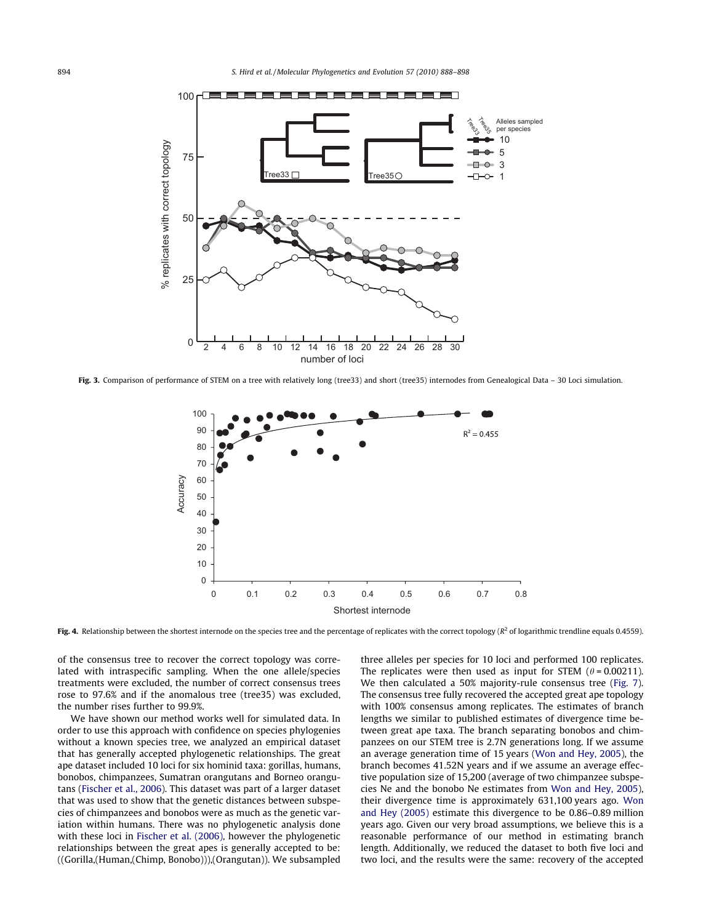

Fig. 3. Comparison of performance of STEM on a tree with relatively long (tree33) and short (tree35) internodes from Genealogical Data - 30 Loci simulation.



Fig. 4. Relationship between the shortest internode on the species tree and the percentage of replicates with the correct topology ( $R^2$  of logarithmic trendline equals 0.4559).

of the consensus tree to recover the correct topology was correlated with intraspecific sampling. When the one allele/species treatments were excluded, the number of correct consensus trees rose to 97.6% and if the anomalous tree (tree35) was excluded, the number rises further to 99.9%.

We have shown our method works well for simulated data. In order to use this approach with confidence on species phylogenies without a known species tree, we analyzed an empirical dataset that has generally accepted phylogenetic relationships. The great ape dataset included 10 loci for six hominid taxa: gorillas, humans, bonobos, chimpanzees, Sumatran orangutans and Borneo orangutans (Fischer et al., 2006). This dataset was part of a larger dataset that was used to show that the genetic distances between subspecies of chimpanzees and bonobos were as much as the genetic variation within humans. There was no phylogenetic analysis done with these loci in Fischer et al. (2006), however the phylogenetic relationships between the great apes is generally accepted to be: ((Gorilla,(Human,(Chimp, Bonobo))),(Orangutan)). We subsampled

three alleles per species for 10 loci and performed 100 replicates. The replicates were then used as input for STEM  $(\theta = 0.00211)$ . We then calculated a 50% majority-rule consensus tree (Fig. 7). The consensus tree fully recovered the accepted great ape topology with 100% consensus among replicates. The estimates of branch lengths we similar to published estimates of divergence time between great ape taxa. The branch separating bonobos and chimpanzees on our STEM tree is 2.7N generations long. If we assume an average generation time of 15 years (Won and Hey, 2005), the branch becomes 41.52N years and if we assume an average effective population size of 15,200 (average of two chimpanzee subspecies Ne and the bonobo Ne estimates from Won and Hey, 2005), their divergence time is approximately 631,100 years ago. Won and Hey (2005) estimate this divergence to be 0.86–0.89 million years ago. Given our very broad assumptions, we believe this is a reasonable performance of our method in estimating branch length. Additionally, we reduced the dataset to both five loci and two loci, and the results were the same: recovery of the accepted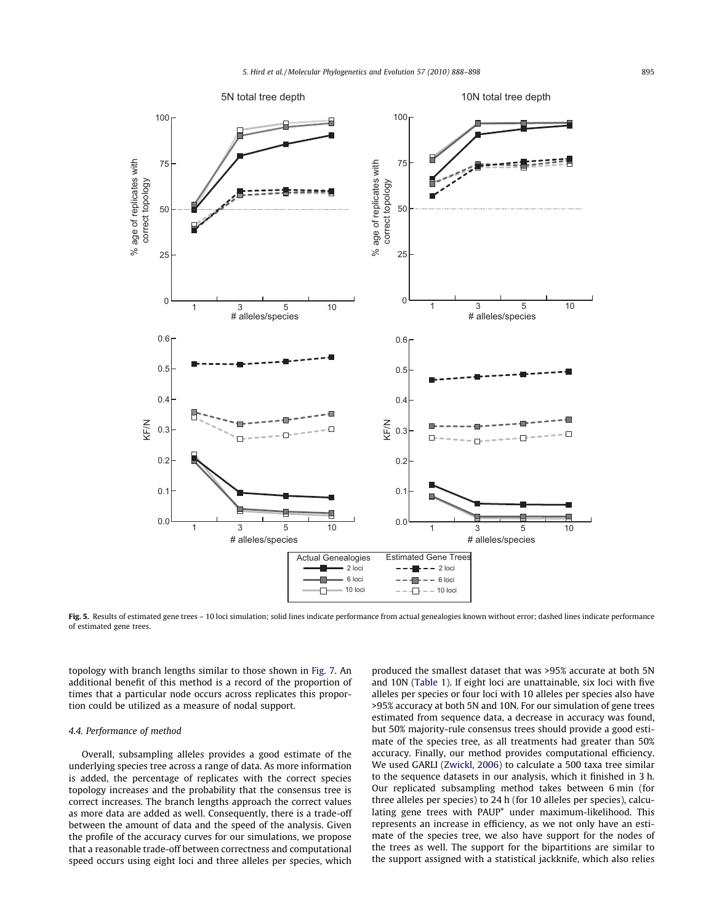

Fig. 5. Results of estimated gene trees - 10 loci simulation; solid lines indicate performance from actual genealogies known without error; dashed lines indicate performance of estimated gene trees.

topology with branch lengths similar to those shown in Fig. 7. An additional benefit of this method is a record of the proportion of times that a particular node occurs across replicates this proportion could be utilized as a measure of nodal support.

#### 4.4. Performance of method

Overall, subsampling alleles provides a good estimate of the underlying species tree across a range of data. As more information is added, the percentage of replicates with the correct species topology increases and the probability that the consensus tree is correct increases. The branch lengths approach the correct values as more data are added as well. Consequently, there is a trade-off between the amount of data and the speed of the analysis. Given the profile of the accuracy curves for our simulations, we propose that a reasonable trade-off between correctness and computational speed occurs using eight loci and three alleles per species, which produced the smallest dataset that was >95% accurate at both 5N and 10N (Table 1). If eight loci are unattainable, six loci with five alleles per species or four loci with 10 alleles per species also have >95% accuracy at both 5N and 10N. For our simulation of gene trees estimated from sequence data, a decrease in accuracy was found, but 50% majority-rule consensus trees should provide a good estimate of the species tree, as all treatments had greater than 50% accuracy. Finally, our method provides computational efficiency. We used GARLI (Zwickl, 2006) to calculate a 500 taxa tree similar to the sequence datasets in our analysis, which it finished in 3 h. Our replicated subsampling method takes between 6 min (for three alleles per species) to 24 h (for 10 alleles per species), calculating gene trees with PAUP\* under maximum-likelihood. This represents an increase in efficiency, as we not only have an estimate of the species tree, we also have support for the nodes of the trees as well. The support for the bipartitions are similar to the support assigned with a statistical jackknife, which also relies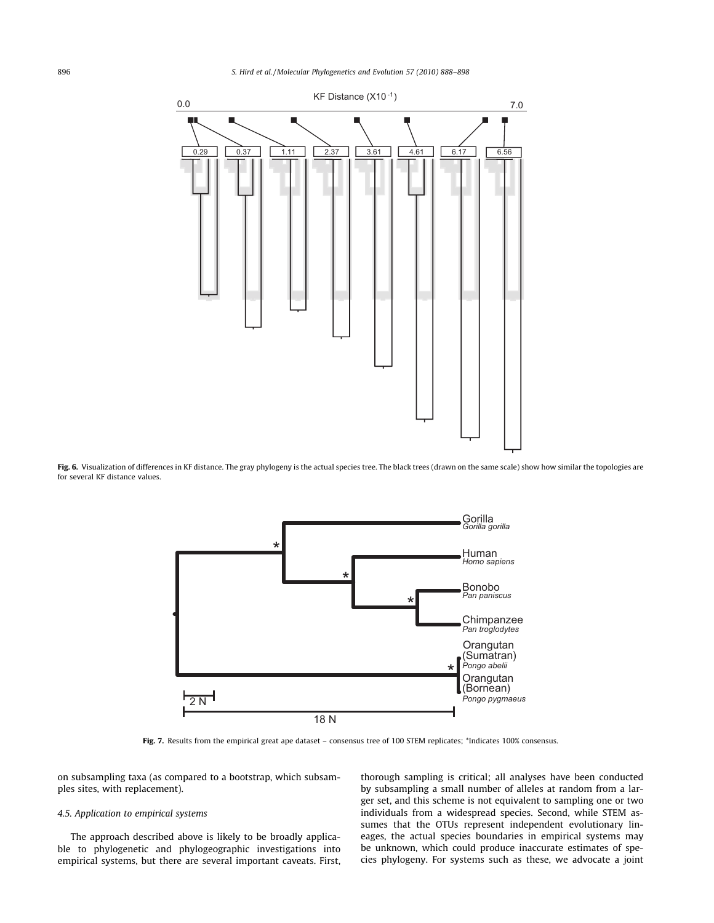# 896 S. Hird et al. / Molecular Phylogenetics and Evolution 57 (2010) 888–898



Fig. 6. Visualization of differences in KF distance. The gray phylogeny is the actual species tree. The black trees (drawn on the same scale) show how similar the topologies are for several KF distance values.



Fig. 7. Results from the empirical great ape dataset – consensus tree of 100 STEM replicates; \*Indicates 100% consensus.

on subsampling taxa (as compared to a bootstrap, which subsamples sites, with replacement).

# 4.5. Application to empirical systems

The approach described above is likely to be broadly applicable to phylogenetic and phylogeographic investigations into empirical systems, but there are several important caveats. First,

thorough sampling is critical; all analyses have been conducted by subsampling a small number of alleles at random from a larger set, and this scheme is not equivalent to sampling one or two individuals from a widespread species. Second, while STEM assumes that the OTUs represent independent evolutionary lineages, the actual species boundaries in empirical systems may be unknown, which could produce inaccurate estimates of species phylogeny. For systems such as these, we advocate a joint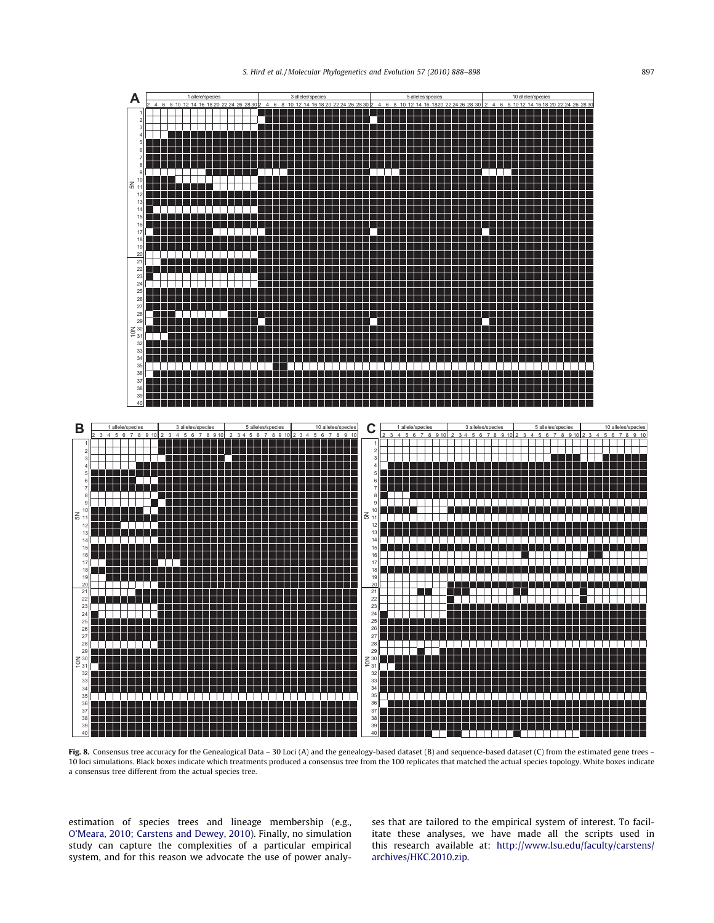

Fig. 8. Consensus tree accuracy for the Genealogical Data – 30 Loci (A) and the genealogy-based dataset (B) and sequence-based dataset (C) from the estimated gene trees – 10 loci simulations. Black boxes indicate which treatments produced a consensus tree from the 100 replicates that matched the actual species topology. White boxes indicate a consensus tree different from the actual species tree.

estimation of species trees and lineage membership (e.g., O'Meara, 2010; Carstens and Dewey, 2010). Finally, no simulation study can capture the complexities of a particular empirical system, and for this reason we advocate the use of power analyses that are tailored to the empirical system of interest. To facilitate these analyses, we have made all the scripts used in this research available at: http://www.lsu.edu/faculty/carstens/ archives/HKC.2010.zip.